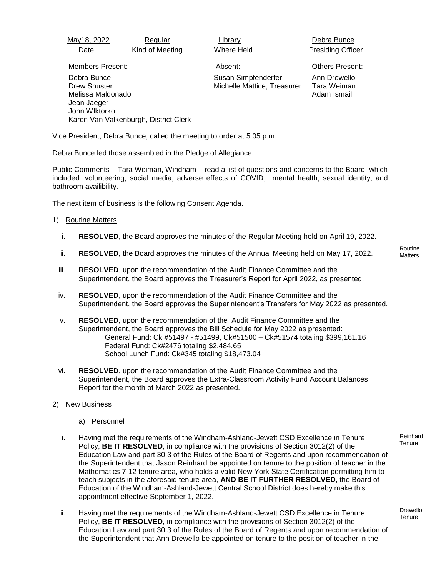May18, 2022 Regular Library Library Debra Bunce

Date Kind of Meeting Where Held Presiding Officer

Members Present: Absent: Others Present:

 Debra Bunce Drew Shuster Melissa Maldonado Jean Jaeger John WIktorko Karen Van Valkenburgh, District Clerk Susan Simpfenderfer Michelle Mattice, Treasurer Ann Drewello Tara Weiman

Adam Ismail

Vice President, Debra Bunce, called the meeting to order at 5:05 p.m.

Debra Bunce led those assembled in the Pledge of Allegiance.

Public Comments – Tara Weiman, Windham – read a list of questions and concerns to the Board, which included: volunteering, social media, adverse effects of COVID, mental health, sexual identity, and bathroom availibility.

The next item of business is the following Consent Agenda.

## 1) Routine Matters

- i. **RESOLVED**, the Board approves the minutes of the Regular Meeting held on April 19, 2022**.**
- ii. **RESOLVED,** the Board approves the minutes of the Annual Meeting held on May 17, 2022.
- iii. **RESOLVED**, upon the recommendation of the Audit Finance Committee and the Superintendent, the Board approves the Treasurer's Report for April 2022, as presented.
- iv. **RESOLVED**, upon the recommendation of the Audit Finance Committee and the Superintendent, the Board approves the Superintendent's Transfers for May 2022 as presented.
- v. **RESOLVED,** upon the recommendation of the Audit Finance Committee and the Superintendent, the Board approves the Bill Schedule for May 2022 as presented: General Fund: Ck #51497 - #51499, Ck#51500 – Ck#51574 totaling \$399,161.16 Federal Fund: Ck#2476 totaling \$2,484.65 School Lunch Fund: Ck#345 totaling \$18,473.04
- vi. **RESOLVED**, upon the recommendation of the Audit Finance Committee and the Superintendent, the Board approves the Extra-Classroom Activity Fund Account Balances Report for the month of March 2022 as presented.
- 2) New Business
	- a) Personnel
	- i. Having met the requirements of the Windham-Ashland-Jewett CSD Excellence in Tenure Policy, **BE IT RESOLVED**, in compliance with the provisions of Section 3012(2) of the Education Law and part 30.3 of the Rules of the Board of Regents and upon recommendation of the Superintendent that Jason Reinhard be appointed on tenure to the position of teacher in the Mathematics 7-12 tenure area, who holds a valid New York State Certification permitting him to teach subjects in the aforesaid tenure area, **AND BE IT FURTHER RESOLVED**, the Board of Education of the Windham-Ashland-Jewett Central School District does hereby make this appointment effective September 1, 2022.
	- ii. Having met the requirements of the Windham-Ashland-Jewett CSD Excellence in Tenure Policy, **BE IT RESOLVED**, in compliance with the provisions of Section 3012(2) of the Education Law and part 30.3 of the Rules of the Board of Regents and upon recommendation of the Superintendent that Ann Drewello be appointed on tenure to the position of teacher in the

Routine **Matters** 

Reinhard **Tenure** 

Drewello **Tenure**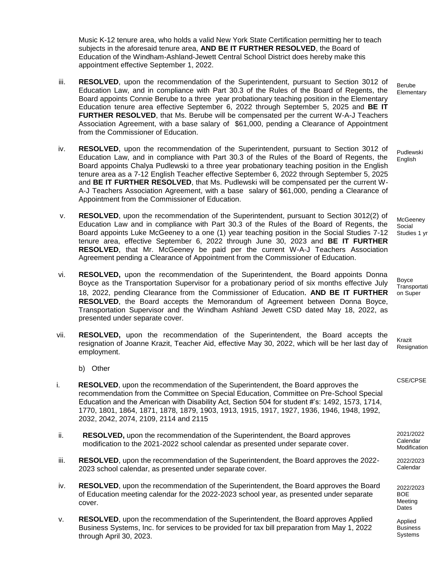Music K-12 tenure area, who holds a valid New York State Certification permitting her to teach subjects in the aforesaid tenure area, **AND BE IT FURTHER RESOLVED**, the Board of Education of the Windham-Ashland-Jewett Central School District does hereby make this appointment effective September 1, 2022.

- iii. **RESOLVED**, upon the recommendation of the Superintendent, pursuant to Section 3012 of Education Law, and in compliance with Part 30.3 of the Rules of the Board of Regents, the Board appoints Connie Berube to a three year probationary teaching position in the Elementary Education tenure area effective September 6, 2022 through September 5, 2025 and **BE IT FURTHER RESOLVED**, that Ms. Berube will be compensated per the current W-A-J Teachers Association Agreement, with a base salary of \$61,000, pending a Clearance of Appointment from the Commissioner of Education.
- iv. **RESOLVED**, upon the recommendation of the Superintendent, pursuant to Section 3012 of Education Law, and in compliance with Part 30.3 of the Rules of the Board of Regents, the Board appoints Chalya Pudlewski to a three year probationary teaching position in the English tenure area as a 7-12 English Teacher effective September 6, 2022 through September 5, 2025 and **BE IT FURTHER RESOLVED**, that Ms. Pudlewski will be compensated per the current W-A-J Teachers Association Agreement, with a base salary of \$61,000, pending a Clearance of Appointment from the Commissioner of Education.
- v. **RESOLVED**, upon the recommendation of the Superintendent, pursuant to Section 3012(2) of Education Law and in compliance with Part 30.3 of the Rules of the Board of Regents, the Board appoints Luke McGeeney to a one (1) year teaching position in the Social Studies 7-12 tenure area, effective September 6, 2022 through June 30, 2023 and **BE IT FURTHER RESOLVED**, that Mr. McGeeney be paid per the current W-A-J Teachers Association Agreement pending a Clearance of Appointment from the Commissioner of Education.
- vi. **RESOLVED,** upon the recommendation of the Superintendent, the Board appoints Donna Boyce as the Transportation Supervisor for a probationary period of six months effective July 18, 2022, pending Clearance from the Commissioner of Education. **AND BE IT FURTHER RESOLVED**, the Board accepts the Memorandum of Agreement between Donna Boyce, Transportation Supervisor and the Windham Ashland Jewett CSD dated May 18, 2022, as presented under separate cover.
- vii. **RESOLVED,** upon the recommendation of the Superintendent, the Board accepts the resignation of Joanne Krazit, Teacher Aid, effective May 30, 2022, which will be her last day of employment.
	- b) Other
- i. **RESOLVED**, upon the recommendation of the Superintendent, the Board approves the recommendation from the Committee on Special Education, Committee on Pre-School Special Education and the American with Disability Act, Section 504 for student #'s: 1492, 1573, 1714, 1770, 1801, 1864, 1871, 1878, 1879, 1903, 1913, 1915, 1917, 1927, 1936, 1946, 1948, 1992, 2032, 2042, 2074, 2109, 2114 and 2115
- ii. **RESOLVED,** upon the recommendation of the Superintendent, the Board approves modification to the 2021-2022 school calendar as presented under separate cover.
- iii. **RESOLVED**, upon the recommendation of the Superintendent, the Board approves the 2022- 2023 school calendar, as presented under separate cover.
- iv. **RESOLVED**, upon the recommendation of the Superintendent, the Board approves the Board of Education meeting calendar for the 2022-2023 school year, as presented under separate cover.
- v. **RESOLVED**, upon the recommendation of the Superintendent, the Board approves Applied Business Systems, Inc. for services to be provided for tax bill preparation from May 1, 2022 through April 30, 2023.

Berube **Elementary** 

Pudlewski English

**McGeeney** Social Studies 1 yr

Boyce **Transportati** on Super

Krazit Resignation

CSE/CPSE

2021/2022 Calendar Modification

2022/2023 Calendar

2022/2023 BOE Meeting Dates

Applied **Business** Systems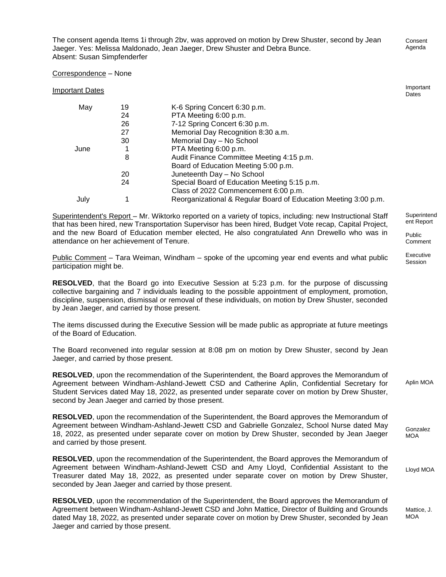The consent agenda Items 1i through 2bv, was approved on motion by Drew Shuster, second by Jean Jaeger. Yes: Melissa Maldonado, Jean Jaeger, Drew Shuster and Debra Bunce. Absent: Susan Simpfenderfer

Correspondence – None

Important Dates

Superintendent's Report – Mr. Wiktorko reported on a variety of topics, including: new Instructional Staff that has been hired, new Transportation Supervisor has been hired, Budget Vote recap, Capital Project, and the new Board of Education member elected, He also congratulated Ann Drewello who was in attendance on her achievement of Tenure.

Public Comment – Tara Weiman, Windham – spoke of the upcoming year end events and what public participation might be.

**RESOLVED**, that the Board go into Executive Session at 5:23 p.m. for the purpose of discussing collective bargaining and 7 individuals leading to the possible appointment of employment, promotion, discipline, suspension, dismissal or removal of these individuals, on motion by Drew Shuster, seconded by Jean Jaeger, and carried by those present.

The items discussed during the Executive Session will be made public as appropriate at future meetings of the Board of Education.

The Board reconvened into regular session at 8:08 pm on motion by Drew Shuster, second by Jean Jaeger, and carried by those present.

**RESOLVED**, upon the recommendation of the Superintendent, the Board approves the Memorandum of Agreement between Windham-Ashland-Jewett CSD and Catherine Aplin, Confidential Secretary for Student Services dated May 18, 2022, as presented under separate cover on motion by Drew Shuster, second by Jean Jaeger and carried by those present.

**RESOLVED**, upon the recommendation of the Superintendent, the Board approves the Memorandum of Agreement between Windham-Ashland-Jewett CSD and Gabrielle Gonzalez, School Nurse dated May 18, 2022, as presented under separate cover on motion by Drew Shuster, seconded by Jean Jaeger and carried by those present.

**RESOLVED**, upon the recommendation of the Superintendent, the Board approves the Memorandum of Agreement between Windham-Ashland-Jewett CSD and Amy Lloyd, Confidential Assistant to the Treasurer dated May 18, 2022, as presented under separate cover on motion by Drew Shuster, seconded by Jean Jaeger and carried by those present.

**RESOLVED**, upon the recommendation of the Superintendent, the Board approves the Memorandum of Agreement between Windham-Ashland-Jewett CSD and John Mattice, Director of Building and Grounds dated May 18, 2022, as presented under separate cover on motion by Drew Shuster, seconded by Jean Jaeger and carried by those present.

**Superintend** ent Report

Public Comment

Executive Session

Aplin MOA

Gonzalez MOA

Lloyd MOA

Mattice, J. **MOA** 

Consent

Important Dates